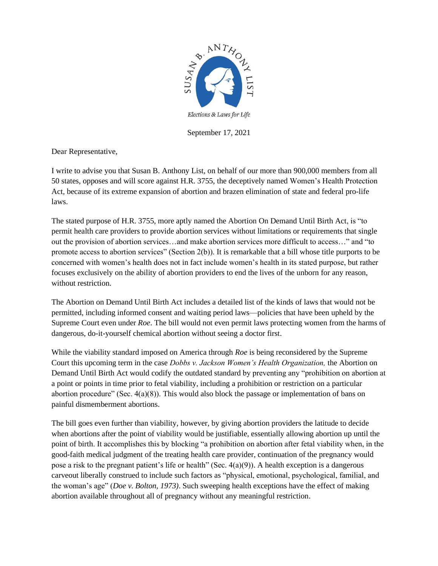

September 17, 2021

Dear Representative,

I write to advise you that Susan B. Anthony List, on behalf of our more than 900,000 members from all 50 states, opposes and will score against H.R. 3755, the deceptively named Women's Health Protection Act, because of its extreme expansion of abortion and brazen elimination of state and federal pro-life laws.

The stated purpose of H.R. 3755, more aptly named the Abortion On Demand Until Birth Act, is "to permit health care providers to provide abortion services without limitations or requirements that single out the provision of abortion services…and make abortion services more difficult to access…" and "to promote access to abortion services" (Section 2(b)). It is remarkable that a bill whose title purports to be concerned with women's health does not in fact include women's health in its stated purpose, but rather focuses exclusively on the ability of abortion providers to end the lives of the unborn for any reason, without restriction.

The Abortion on Demand Until Birth Act includes a detailed list of the kinds of laws that would not be permitted, including informed consent and waiting period laws—policies that have been upheld by the Supreme Court even under *Roe*. The bill would not even permit laws protecting women from the harms of dangerous, do-it-yourself chemical abortion without seeing a doctor first.

While the viability standard imposed on America through *Roe* is being reconsidered by the Supreme Court this upcoming term in the case *Dobbs v. Jackson Women's Health Organization,* the Abortion on Demand Until Birth Act would codify the outdated standard by preventing any "prohibition on abortion at a point or points in time prior to fetal viability, including a prohibition or restriction on a particular abortion procedure" (Sec.  $4(a)(8)$ ). This would also block the passage or implementation of bans on painful dismemberment abortions.

The bill goes even further than viability, however, by giving abortion providers the latitude to decide when abortions after the point of viability would be justifiable, essentially allowing abortion up until the point of birth. It accomplishes this by blocking "a prohibition on abortion after fetal viability when, in the good-faith medical judgment of the treating health care provider, continuation of the pregnancy would pose a risk to the pregnant patient's life or health" (Sec.  $4(a)(9)$ ). A health exception is a dangerous carveout liberally construed to include such factors as "physical, emotional, psychological, familial, and the woman's age" (*Doe v. Bolton, 1973)*. Such sweeping health exceptions have the effect of making abortion available throughout all of pregnancy without any meaningful restriction.